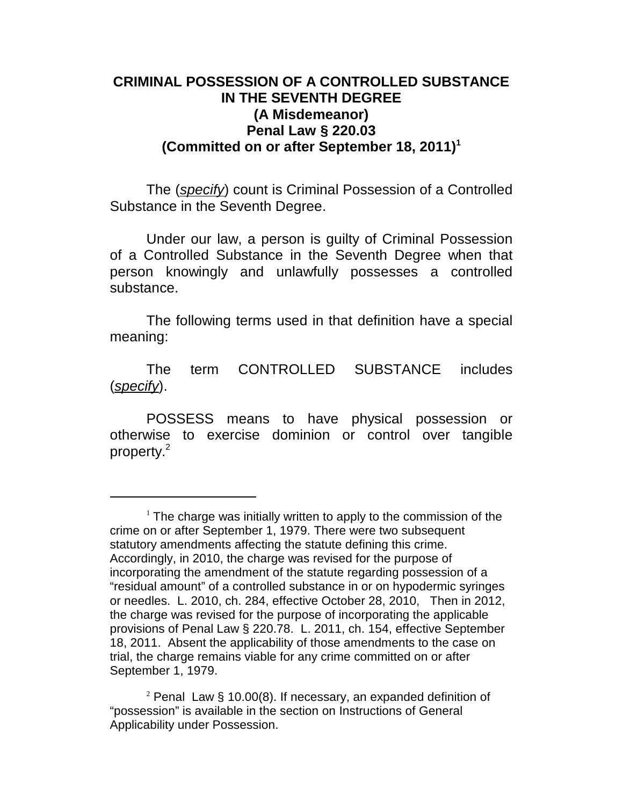## **CRIMINAL POSSESSION OF A CONTROLLED SUBSTANCE IN THE SEVENTH DEGREE (A Misdemeanor) Penal Law § 220.03 (Committed on or after September 18, 2011)<sup>1</sup>**

The (*specify*) count is Criminal Possession of a Controlled Substance in the Seventh Degree.

Under our law, a person is guilty of Criminal Possession of a Controlled Substance in the Seventh Degree when that person knowingly and unlawfully possesses a controlled substance.

The following terms used in that definition have a special meaning:

The term CONTROLLED SUBSTANCE includes (*specify*).

POSSESS means to have physical possession or otherwise to exercise dominion or control over tangible property.<sup>2</sup>

 $1$  The charge was initially written to apply to the commission of the crime on or after September 1, 1979. There were two subsequent statutory amendments affecting the statute defining this crime. Accordingly, in 2010, the charge was revised for the purpose of incorporating the amendment of the statute regarding possession of a "residual amount" of a controlled substance in or on hypodermic syringes or needles. L. 2010, ch. 284, effective October 28, 2010, Then in 2012, the charge was revised for the purpose of incorporating the applicable provisions of Penal Law § 220.78. L. 2011, ch. 154, effective September 18, 2011. Absent the applicability of those amendments to the case on trial, the charge remains viable for any crime committed on or after September 1, 1979.

<sup>&</sup>lt;sup>2</sup> Penal Law § 10.00(8). If necessary, an expanded definition of "possession" is available in the section on Instructions of General Applicability under Possession.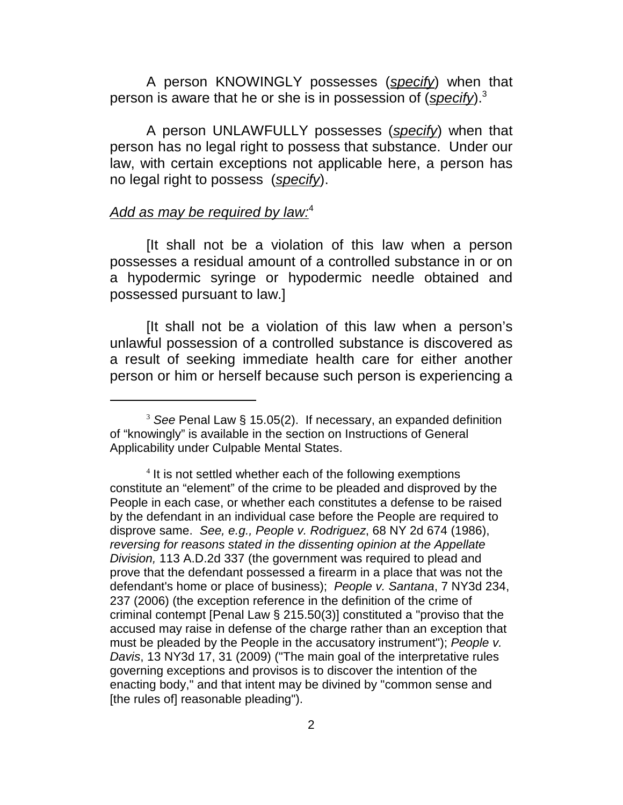A person KNOWINGLY possesses (*specify*) when that person is aware that he or she is in possession of (*specify*).<sup>3</sup>

A person UNLAWFULLY possesses (*specify*) when that person has no legal right to possess that substance. Under our law, with certain exceptions not applicable here, a person has no legal right to possess (*specify*).

## *Add as may be required by law:*<sup>4</sup>

[It shall not be a violation of this law when a person possesses a residual amount of a controlled substance in or on a hypodermic syringe or hypodermic needle obtained and possessed pursuant to law.]

[It shall not be a violation of this law when a person's unlawful possession of a controlled substance is discovered as a result of seeking immediate health care for either another person or him or herself because such person is experiencing a

<sup>3</sup> *See* Penal Law § 15.05(2). If necessary, an expanded definition of "knowingly" is available in the section on Instructions of General Applicability under Culpable Mental States.

<sup>&</sup>lt;sup>4</sup> It is not settled whether each of the following exemptions constitute an "element" of the crime to be pleaded and disproved by the People in each case, or whether each constitutes a defense to be raised by the defendant in an individual case before the People are required to disprove same. *See, e.g., People v. Rodriguez*, 68 NY 2d 674 (1986), *reversing for reasons stated in the dissenting opinion at the Appellate Division,* 113 A.D.2d 337 (the government was required to plead and prove that the defendant possessed a firearm in a place that was not the defendant's home or place of business); *People v. Santana*, 7 NY3d 234, 237 (2006) (the exception reference in the definition of the crime of criminal contempt [Penal Law § 215.50(3)] constituted a "proviso that the accused may raise in defense of the charge rather than an exception that must be pleaded by the People in the accusatory instrument"); *People v. Davis*, 13 NY3d 17, 31 (2009) ("The main goal of the interpretative rules governing exceptions and provisos is to discover the intention of the enacting body," and that intent may be divined by "common sense and [the rules of] reasonable pleading").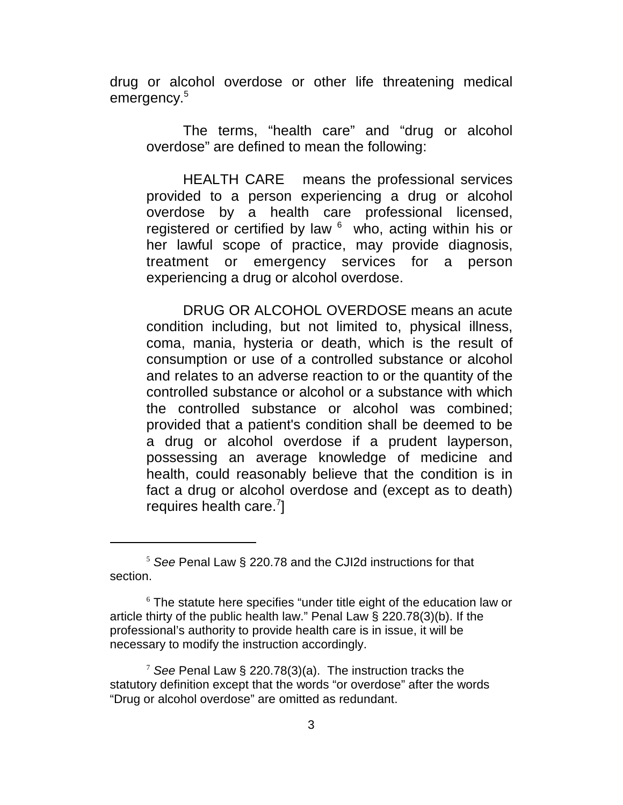drug or alcohol overdose or other life threatening medical emergency.<sup>5</sup>

The terms, "health care" and "drug or alcohol overdose" are defined to mean the following:

HEALTH CARE means the professional services provided to a person experiencing a drug or alcohol overdose by a health care professional licensed, registered or certified by law  $6\,$  who, acting within his or her lawful scope of practice, may provide diagnosis, treatment or emergency services for a person experiencing a drug or alcohol overdose.

DRUG OR ALCOHOL OVERDOSE means an acute condition including, but not limited to, physical illness, coma, mania, hysteria or death, which is the result of consumption or use of a controlled substance or alcohol and relates to an adverse reaction to or the quantity of the controlled substance or alcohol or a substance with which the controlled substance or alcohol was combined; provided that a patient's condition shall be deemed to be a drug or alcohol overdose if a prudent layperson, possessing an average knowledge of medicine and health, could reasonably believe that the condition is in fact a drug or alcohol overdose and (except as to death) requires health care. $7$ ]

<sup>5</sup>  *See* Penal Law § 220.78 and the CJI2d instructions for that section.

 $6$  The statute here specifies "under title eight of the education law or article thirty of the public health law." Penal Law § 220.78(3)(b). If the professional's authority to provide health care is in issue, it will be necessary to modify the instruction accordingly.

<sup>7</sup> *See* Penal Law § 220.78(3)(a). The instruction tracks the statutory definition except that the words "or overdose" after the words "Drug or alcohol overdose" are omitted as redundant.